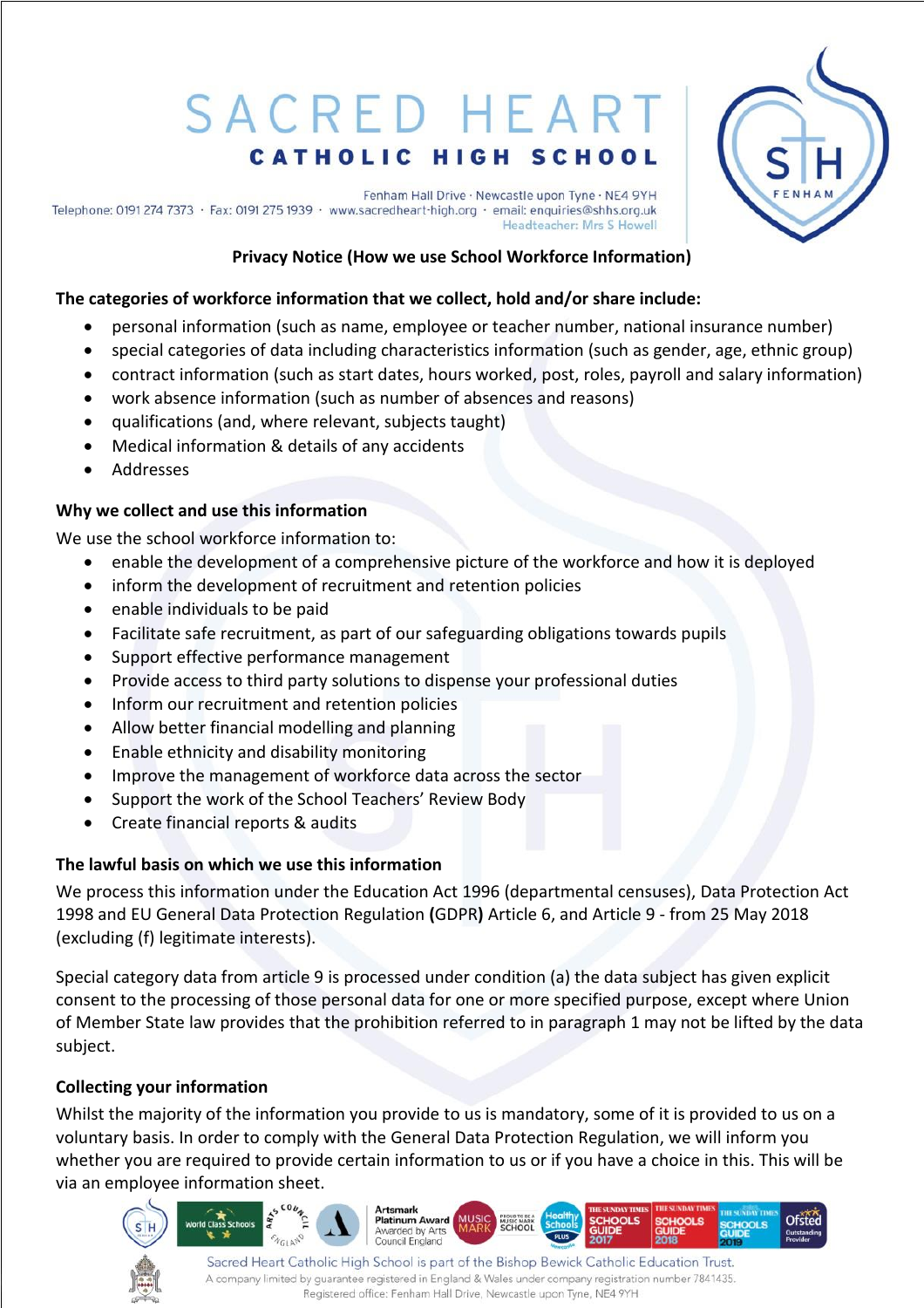# SACRED HEART **CATHOLIC HIGH SCHOOL**

Fenham Hall Drive · Newcastle upon Tyne · NE4 9YH Telephone: 0191 274 7373 · Fax: 0191 275 1939 · www.sacredheart-high.org · email: enquiries@shhs.org.uk Headteacher: Mrs S Howell



**Ofsted** 

# **Privacy Notice (How we use School Workforce Information)**

#### **The categories of workforce information that we collect, hold and/or share include:**

- personal information (such as name, employee or teacher number, national insurance number)
- special categories of data including characteristics information (such as gender, age, ethnic group)
- contract information (such as start dates, hours worked, post, roles, payroll and salary information)
- work absence information (such as number of absences and reasons)
- qualifications (and, where relevant, subjects taught)
- Medical information & details of any accidents
- Addresses

#### **Why we collect and use this information**

We use the school workforce information to:

- enable the development of a comprehensive picture of the workforce and how it is deployed
- inform the development of recruitment and retention policies
- enable individuals to be paid
- Facilitate safe recruitment, as part of our safeguarding obligations towards pupils
- Support effective performance management
- Provide access to third party solutions to dispense your professional duties
- Inform our recruitment and retention policies
- Allow better financial modelling and planning
- Enable ethnicity and disability monitoring
- Improve the management of workforce data across the sector
- Support the work of the School Teachers' Review Body
- Create financial reports & audits

#### **The lawful basis on which we use this information**

We process this information under the Education Act 1996 (departmental censuses), Data Protection Act 1998 and EU General Data Protection Regulation **(**GDPR**)** Article 6, and Article 9 - from 25 May 2018 (excluding (f) legitimate interests).

Special category data from article 9 is processed under condition (a) the data subject has given explicit consent to the processing of those personal data for one or more specified purpose, except where Union of Member State law provides that the prohibition referred to in paragraph 1 may not be lifted by the data subject.

#### **Collecting your information**

Whilst the majority of the information you provide to us is mandatory, some of it is provided to us on a voluntary basis. In order to comply with the General Data Protection Regulation, we will inform you whether you are required to provide certain information to us or if you have a choice in this. This will be via an employee information sheet.

**Artsmark** 

**Platinum Award** 

Awarded by Arts Council England



Sacred Heart Catholic High School is part of the Bishop Bewick Catholic Education Trust. A company limited by guarantee registered in England & Wales under company registration number 7841435. Registered office: Fenham Hall Drive, Newcastle upon Tyne, NE4 9YH

MUSIC MARK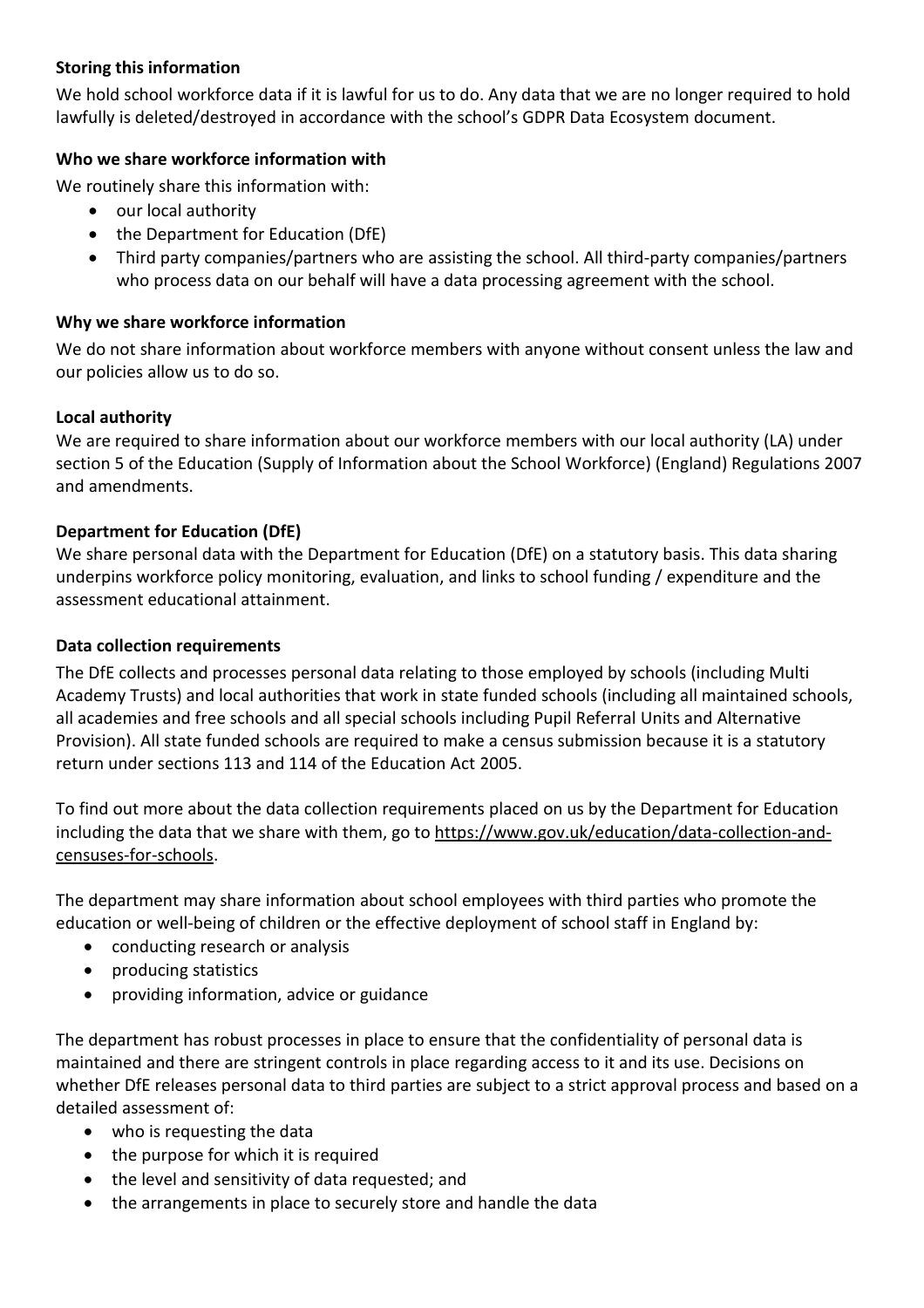## **Storing this information**

We hold school workforce data if it is lawful for us to do. Any data that we are no longer required to hold lawfully is deleted/destroyed in accordance with the school's GDPR Data Ecosystem document.

## **Who we share workforce information with**

We routinely share this information with:

- our local authority
- the Department for Education (DfE)
- Third party companies/partners who are assisting the school. All third-party companies/partners who process data on our behalf will have a data processing agreement with the school.

## **Why we share workforce information**

We do not share information about workforce members with anyone without consent unless the law and our policies allow us to do so.

## **Local authority**

We are required to share information about our workforce members with our local authority (LA) under section 5 of the Education (Supply of Information about the School Workforce) (England) Regulations 2007 and amendments.

# **Department for Education (DfE)**

We share personal data with the Department for Education (DfE) on a statutory basis. This data sharing underpins workforce policy monitoring, evaluation, and links to school funding / expenditure and the assessment educational attainment.

## **Data collection requirements**

The DfE collects and processes personal data relating to those employed by schools (including Multi Academy Trusts) and local authorities that work in state funded schools (including all maintained schools, all academies and free schools and all special schools including Pupil Referral Units and Alternative Provision). All state funded schools are required to make a census submission because it is a statutory return under sections 113 and 114 of the Education Act 2005.

To find out more about the data collection requirements placed on us by the Department for Education including the data that we share with them, go to [https://www.gov.uk/education/data-collection-and](https://www.gov.uk/education/data-collection-and-censuses-for-schools)[censuses-for-schools.](https://www.gov.uk/education/data-collection-and-censuses-for-schools)

The department may share information about school employees with third parties who promote the education or well-being of children or the effective deployment of school staff in England by:

- conducting research or analysis
- producing statistics
- providing information, advice or guidance

The department has robust processes in place to ensure that the confidentiality of personal data is maintained and there are stringent controls in place regarding access to it and its use. Decisions on whether DfE releases personal data to third parties are subject to a strict approval process and based on a detailed assessment of:

- who is requesting the data
- the purpose for which it is required
- the level and sensitivity of data requested; and
- the arrangements in place to securely store and handle the data